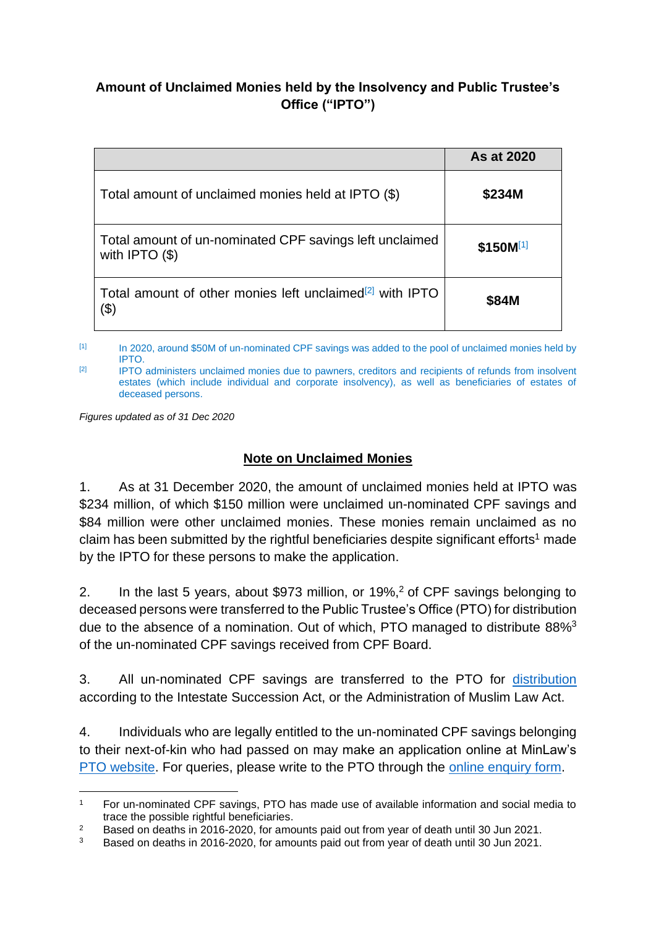## **Amount of Unclaimed Monies held by the Insolvency and Public Trustee's Office ("IPTO")**

|                                                                                            | As at 2020    |
|--------------------------------------------------------------------------------------------|---------------|
| Total amount of unclaimed monies held at IPTO (\$)                                         | \$234M        |
| Total amount of un-nominated CPF savings left unclaimed<br>with IPTO $($ math)             | $$150M^{[1]}$ |
| Total amount of other monies left unclaimed <sup>[2]</sup> with IPTO<br>$\left(  3\right)$ | \$84M         |

[1] In 2020, around \$50M of un-nominated CPF savings was added to the pool of unclaimed monies held by IPTO.

 $\frac{1}{2}$  IPTO administers unclaimed monies due to pawners, creditors and recipients of refunds from insolvent estates (which include individual and corporate insolvency), as well as beneficiaries of estates of deceased persons.

*Figures updated as of 31 Dec 2020*

## **Note on Unclaimed Monies**

1. As at 31 December 2020, the amount of unclaimed monies held at IPTO was \$234 million, of which \$150 million were unclaimed un-nominated CPF savings and \$84 million were other unclaimed monies. These monies remain unclaimed as no claim has been submitted by the rightful beneficiaries despite significant efforts<sup>1</sup> made by the IPTO for these persons to make the application.

2. In the last 5 years, about \$973 million, or 19%,<sup>2</sup> of CPF savings belonging to deceased persons were transferred to the Public Trustee's Office (PTO) for distribution due to the absence of a nomination. Out of which, PTO managed to distribute 88%<sup>3</sup> of the un-nominated CPF savings received from CPF Board.

3. All un-nominated CPF savings are transferred to the PTO for [distribution](https://pto.mlaw.gov.sg/files/intestacybrochure.pdf) according to the Intestate Succession Act, or the Administration of Muslim Law Act.

4. Individuals who are legally entitled to the un-nominated CPF savings belonging to their next-of-kin who had passed on may make an application online at MinLaw's [PTO website.](https://eservices.mlaw.gov.sg/pto/welcome.xhtml) For queries, please write to the PTO through the [online enquiry form.](https://eservices.mlaw.gov.sg/enquiry/)

<sup>1</sup> For un-nominated CPF savings, PTO has made use of available information and social media to trace the possible rightful beneficiaries.

<sup>&</sup>lt;sup>2</sup> Based on deaths in 2016-2020, for amounts paid out from year of death until 30 Jun 2021.<br><sup>3</sup> Based on deaths in 2016, 2020, for amounts paid out from year of death until 30 Jun 2021.

<sup>3</sup> Based on deaths in 2016-2020, for amounts paid out from year of death until 30 Jun 2021.